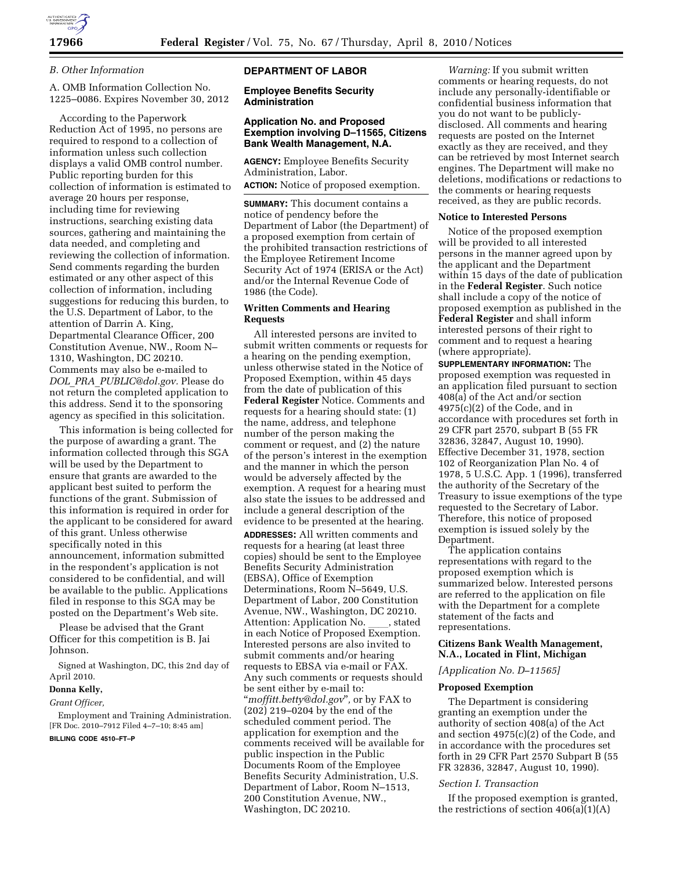

### *B. Other Information*

A. OMB Information Collection No. 1225–0086. Expires November 30, 2012

According to the Paperwork Reduction Act of 1995, no persons are required to respond to a collection of information unless such collection displays a valid OMB control number. Public reporting burden for this collection of information is estimated to average 20 hours per response, including time for reviewing instructions, searching existing data sources, gathering and maintaining the data needed, and completing and reviewing the collection of information. Send comments regarding the burden estimated or any other aspect of this collection of information, including suggestions for reducing this burden, to the U.S. Department of Labor, to the attention of Darrin A. King, Departmental Clearance Officer, 200 Constitution Avenue, NW., Room N– 1310, Washington, DC 20210. Comments may also be e-mailed to *DOL*\_*PRA*\_*PUBLIC@dol.gov.* Please do not return the completed application to this address. Send it to the sponsoring agency as specified in this solicitation.

This information is being collected for the purpose of awarding a grant. The information collected through this SGA will be used by the Department to ensure that grants are awarded to the applicant best suited to perform the functions of the grant. Submission of this information is required in order for the applicant to be considered for award of this grant. Unless otherwise specifically noted in this announcement, information submitted in the respondent's application is not considered to be confidential, and will be available to the public. Applications filed in response to this SGA may be posted on the Department's Web site.

Please be advised that the Grant Officer for this competition is B. Jai Johnson.

Signed at Washington, DC, this 2nd day of April 2010.

# **Donna Kelly,**

# *Grant Officer,*

Employment and Training Administration. [FR Doc. 2010–7912 Filed 4–7–10; 8:45 am]

# **BILLING CODE 4510–FT–P**

#### **DEPARTMENT OF LABOR**

**Employee Benefits Security Administration** 

# **Application No. and Proposed Exemption involving D–11565, Citizens Bank Wealth Management, N.A.**

**AGENCY:** Employee Benefits Security Administration, Labor.

**ACTION:** Notice of proposed exemption.

**SUMMARY:** This document contains a notice of pendency before the Department of Labor (the Department) of a proposed exemption from certain of the prohibited transaction restrictions of the Employee Retirement Income Security Act of 1974 (ERISA or the Act) and/or the Internal Revenue Code of 1986 (the Code).

## **Written Comments and Hearing Requests**

All interested persons are invited to submit written comments or requests for a hearing on the pending exemption, unless otherwise stated in the Notice of Proposed Exemption, within 45 days from the date of publication of this **Federal Register** Notice. Comments and requests for a hearing should state: (1) the name, address, and telephone number of the person making the comment or request, and (2) the nature of the person's interest in the exemption and the manner in which the person would be adversely affected by the exemption. A request for a hearing must also state the issues to be addressed and include a general description of the evidence to be presented at the hearing.

**ADDRESSES:** All written comments and requests for a hearing (at least three copies) should be sent to the Employee Benefits Security Administration (EBSA), Office of Exemption Determinations, Room N–5649, U.S. Department of Labor, 200 Constitution Avenue, NW., Washington, DC 20210. Attention: Application No. \_\_\_\_, stated<br>in each Notice of Proposed Exemption. Interested persons are also invited to submit comments and/or hearing requests to EBSA via e-mail or FAX. Any such comments or requests should be sent either by e-mail to: ''*moffitt.betty@dol.gov*''*,* or by FAX to (202) 219–0204 by the end of the scheduled comment period. The application for exemption and the comments received will be available for public inspection in the Public Documents Room of the Employee Benefits Security Administration, U.S. Department of Labor, Room N–1513, 200 Constitution Avenue, NW., Washington, DC 20210.

*Warning:* If you submit written comments or hearing requests, do not include any personally-identifiable or confidential business information that you do not want to be publiclydisclosed. All comments and hearing requests are posted on the Internet exactly as they are received, and they can be retrieved by most Internet search engines. The Department will make no deletions, modifications or redactions to the comments or hearing requests received, as they are public records.

#### **Notice to Interested Persons**

Notice of the proposed exemption will be provided to all interested persons in the manner agreed upon by the applicant and the Department within 15 days of the date of publication in the **Federal Register**. Such notice shall include a copy of the notice of proposed exemption as published in the **Federal Register** and shall inform interested persons of their right to comment and to request a hearing (where appropriate).

**SUPPLEMENTARY INFORMATION:** The proposed exemption was requested in an application filed pursuant to section  $408(a)$  of the Act and/or section 4975(c)(2) of the Code, and in accordance with procedures set forth in 29 CFR part 2570, subpart B (55 FR 32836, 32847, August 10, 1990). Effective December 31, 1978, section 102 of Reorganization Plan No. 4 of 1978, 5 U.S.C. App. 1 (1996), transferred the authority of the Secretary of the Treasury to issue exemptions of the type requested to the Secretary of Labor. Therefore, this notice of proposed exemption is issued solely by the Department.

The application contains representations with regard to the proposed exemption which is summarized below. Interested persons are referred to the application on file with the Department for a complete statement of the facts and representations.

### **Citizens Bank Wealth Management, N.A., Located in Flint, Michigan**

*[Application No. D–11565]* 

### **Proposed Exemption**

The Department is considering granting an exemption under the authority of section 408(a) of the Act and section 4975(c)(2) of the Code, and in accordance with the procedures set forth in 29 CFR Part 2570 Subpart B (55 FR 32836, 32847, August 10, 1990).

### *Section I. Transaction*

If the proposed exemption is granted, the restrictions of section  $406(a)(1)(A)$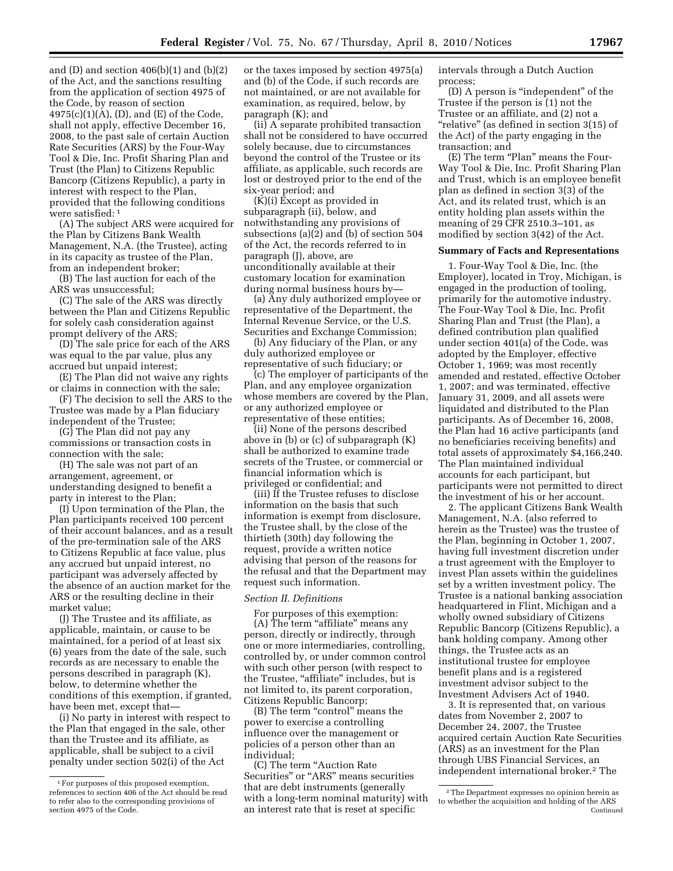and  $(D)$  and section  $406(b)(1)$  and  $(b)(2)$ of the Act, and the sanctions resulting from the application of section 4975 of the Code, by reason of section 4975(c)(1)(A), (D), and (E) of the Code, shall not apply, effective December 16, 2008, to the past sale of certain Auction Rate Securities (ARS) by the Four-Way Tool & Die, Inc. Profit Sharing Plan and Trust (the Plan) to Citizens Republic Bancorp (Citizens Republic), a party in interest with respect to the Plan, provided that the following conditions were satisfied: 1

(A) The subject ARS were acquired for the Plan by Citizens Bank Wealth Management, N.A. (the Trustee), acting in its capacity as trustee of the Plan, from an independent broker;

(B) The last auction for each of the ARS was unsuccessful;

(C) The sale of the ARS was directly between the Plan and Citizens Republic for solely cash consideration against prompt delivery of the ARS;

(D) The sale price for each of the ARS was equal to the par value, plus any accrued but unpaid interest;

(E) The Plan did not waive any rights or claims in connection with the sale;

(F) The decision to sell the ARS to the Trustee was made by a Plan fiduciary independent of the Trustee;

(G) The Plan did not pay any commissions or transaction costs in connection with the sale;

(H) The sale was not part of an arrangement, agreement, or understanding designed to benefit a party in interest to the Plan;

(I) Upon termination of the Plan, the Plan participants received 100 percent of their account balances, and as a result of the pre-termination sale of the ARS to Citizens Republic at face value, plus any accrued but unpaid interest, no participant was adversely affected by the absence of an auction market for the ARS or the resulting decline in their market value;

(J) The Trustee and its affiliate, as applicable, maintain, or cause to be maintained, for a period of at least six (6) years from the date of the sale, such records as are necessary to enable the persons described in paragraph (K), below, to determine whether the conditions of this exemption, if granted, have been met, except that—

(i) No party in interest with respect to the Plan that engaged in the sale, other than the Trustee and its affiliate, as applicable, shall be subject to a civil penalty under section 502(i) of the Act

or the taxes imposed by section 4975(a) and (b) of the Code, if such records are not maintained, or are not available for examination, as required, below, by paragraph (K); and

(ii) A separate prohibited transaction shall not be considered to have occurred solely because, due to circumstances beyond the control of the Trustee or its affiliate, as applicable, such records are lost or destroyed prior to the end of the six-year period; and

 $(K)(i)$  Except as provided in subparagraph (ii), below, and notwithstanding any provisions of subsections (a)(2) and (b) of section 504 of the Act, the records referred to in paragraph (J), above, are unconditionally available at their customary location for examination during normal business hours by—

(a) Any duly authorized employee or representative of the Department, the Internal Revenue Service, or the U.S. Securities and Exchange Commission;

(b) Any fiduciary of the Plan, or any duly authorized employee or representative of such fiduciary; or

(c) The employer of participants of the Plan, and any employee organization whose members are covered by the Plan, or any authorized employee or representative of these entities;

(ii) None of the persons described above in (b) or (c) of subparagraph (K) shall be authorized to examine trade secrets of the Trustee, or commercial or financial information which is privileged or confidential; and

(iii) If the Trustee refuses to disclose information on the basis that such information is exempt from disclosure, the Trustee shall, by the close of the thirtieth (30th) day following the request, provide a written notice advising that person of the reasons for the refusal and that the Department may request such information.

## *Section II. Definitions*

For purposes of this exemption: (A) The term "affiliate" means any person, directly or indirectly, through one or more intermediaries, controlling, controlled by, or under common control with such other person (with respect to the Trustee, "affiliate" includes, but is not limited to, its parent corporation, Citizens Republic Bancorp;

(B) The term "control" means the power to exercise a controlling influence over the management or policies of a person other than an individual;

(C) The term ''Auction Rate Securities" or "ARS" means securities that are debt instruments (generally with a long-term nominal maturity) with an interest rate that is reset at specific

intervals through a Dutch Auction process;

(D) A person is ''independent'' of the Trustee if the person is (1) not the Trustee or an affiliate, and (2) not a ''relative'' (as defined in section 3(15) of the Act) of the party engaging in the transaction; and

(E) The term "Plan" means the Four-Way Tool & Die, Inc. Profit Sharing Plan and Trust, which is an employee benefit plan as defined in section 3(3) of the Act, and its related trust, which is an entity holding plan assets within the meaning of 29 CFR 2510.3–101, as modified by section 3(42) of the Act.

#### **Summary of Facts and Representations**

1. Four-Way Tool & Die, Inc. (the Employer), located in Troy, Michigan, is engaged in the production of tooling, primarily for the automotive industry. The Four-Way Tool & Die, Inc. Profit Sharing Plan and Trust (the Plan), a defined contribution plan qualified under section 401(a) of the Code, was adopted by the Employer, effective October 1, 1969; was most recently amended and restated, effective October 1, 2007; and was terminated, effective January 31, 2009, and all assets were liquidated and distributed to the Plan participants. As of December 16, 2008, the Plan had 16 active participants (and no beneficiaries receiving benefits) and total assets of approximately \$4,166,240. The Plan maintained individual accounts for each participant, but participants were not permitted to direct the investment of his or her account.

2. The applicant Citizens Bank Wealth Management, N.A. (also referred to herein as the Trustee) was the trustee of the Plan, beginning in October 1, 2007, having full investment discretion under a trust agreement with the Employer to invest Plan assets within the guidelines set by a written investment policy. The Trustee is a national banking association headquartered in Flint, Michigan and a wholly owned subsidiary of Citizens Republic Bancorp (Citizens Republic), a bank holding company. Among other things, the Trustee acts as an institutional trustee for employee benefit plans and is a registered investment advisor subject to the Investment Advisers Act of 1940.

3. It is represented that, on various dates from November 2, 2007 to December 24, 2007, the Trustee acquired certain Auction Rate Securities (ARS) as an investment for the Plan through UBS Financial Services, an independent international broker.2 The

<sup>&</sup>lt;sup>1</sup> For purposes of this proposed exemption, references to section 406 of the Act should be read to refer also to the corresponding provisions of section 4975 of the Code.

<sup>2</sup>The Department expresses no opinion herein as to whether the acquisition and holding of the ARS Continued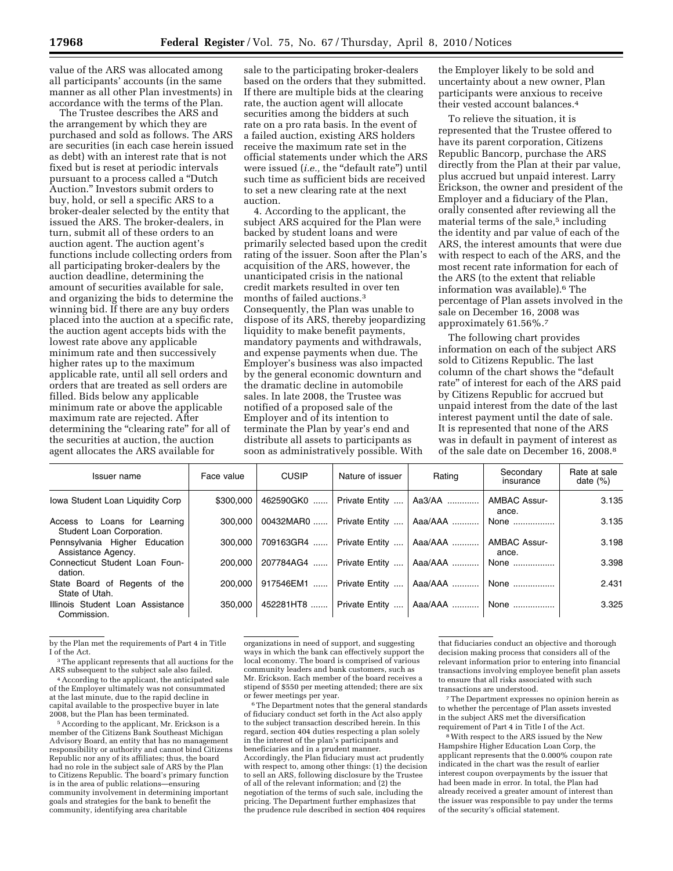value of the ARS was allocated among all participants' accounts (in the same manner as all other Plan investments) in accordance with the terms of the Plan.

The Trustee describes the ARS and the arrangement by which they are purchased and sold as follows. The ARS are securities (in each case herein issued as debt) with an interest rate that is not fixed but is reset at periodic intervals pursuant to a process called a ''Dutch Auction.'' Investors submit orders to buy, hold, or sell a specific ARS to a broker-dealer selected by the entity that issued the ARS. The broker-dealers, in turn, submit all of these orders to an auction agent. The auction agent's functions include collecting orders from all participating broker-dealers by the auction deadline, determining the amount of securities available for sale, and organizing the bids to determine the winning bid. If there are any buy orders placed into the auction at a specific rate, the auction agent accepts bids with the lowest rate above any applicable minimum rate and then successively higher rates up to the maximum applicable rate, until all sell orders and orders that are treated as sell orders are filled. Bids below any applicable minimum rate or above the applicable maximum rate are rejected. After determining the "clearing rate" for all of the securities at auction, the auction agent allocates the ARS available for

sale to the participating broker-dealers based on the orders that they submitted. If there are multiple bids at the clearing rate, the auction agent will allocate securities among the bidders at such rate on a pro rata basis. In the event of a failed auction, existing ARS holders receive the maximum rate set in the official statements under which the ARS were issued (*i.e.*, the "default rate") until such time as sufficient bids are received to set a new clearing rate at the next auction.

4. According to the applicant, the subject ARS acquired for the Plan were backed by student loans and were primarily selected based upon the credit rating of the issuer. Soon after the Plan's acquisition of the ARS, however, the unanticipated crisis in the national credit markets resulted in over ten months of failed auctions.3 Consequently, the Plan was unable to dispose of its ARS, thereby jeopardizing liquidity to make benefit payments, mandatory payments and withdrawals, and expense payments when due. The Employer's business was also impacted by the general economic downturn and the dramatic decline in automobile sales. In late 2008, the Trustee was notified of a proposed sale of the Employer and of its intention to terminate the Plan by year's end and distribute all assets to participants as soon as administratively possible. With

the Employer likely to be sold and uncertainty about a new owner, Plan participants were anxious to receive their vested account balances.4

To relieve the situation, it is represented that the Trustee offered to have its parent corporation, Citizens Republic Bancorp, purchase the ARS directly from the Plan at their par value, plus accrued but unpaid interest. Larry Erickson, the owner and president of the Employer and a fiduciary of the Plan, orally consented after reviewing all the material terms of the sale,<sup>5</sup> including the identity and par value of each of the ARS, the interest amounts that were due with respect to each of the ARS, and the most recent rate information for each of the ARS (to the extent that reliable information was available).6 The percentage of Plan assets involved in the sale on December 16, 2008 was approximately 61.56%.7

The following chart provides information on each of the subject ARS sold to Citizens Republic. The last column of the chart shows the ''default rate'' of interest for each of the ARS paid by Citizens Republic for accrued but unpaid interest from the date of the last interest payment until the date of sale. It is represented that none of the ARS was in default in payment of interest as of the sale date on December 16, 2008.8

| Issuer name                                               | Face value | <b>CUSIP</b> | Nature of issuer            | Rating          | Secondary<br>insurance       | Rate at sale<br>date $(\%)$ |
|-----------------------------------------------------------|------------|--------------|-----------------------------|-----------------|------------------------------|-----------------------------|
| Iowa Student Loan Liquidity Corp                          | \$300,000  | 462590GK0    | Private Entity              | Aa3/AA          | <b>AMBAC Assur-</b><br>ance. | 3.135                       |
| Access to Loans for Learning<br>Student Loan Corporation. | 300.000    | 00432MAR0    | Private Entity              | Aaa/AAA         | None                         | 3.135                       |
| Pennsylvania Higher Education<br>Assistance Agency.       | 300.000    | 709163GR4    | Private Entity              | Aaa/AAA         | <b>AMBAC Assur-</b><br>ance. | 3.198                       |
| Connecticut Student Loan Foun-<br>dation.                 | 200.000    | 207784AG4    | Private Entity              | Aaa/AAA         | None                         | 3.398                       |
| State Board of Regents of the<br>State of Utah.           | 200.000    | 917546EM1    | Private Entity              | Aaa/AAA         | None                         | 2.431                       |
| Illinois Student Loan Assistance<br>Commission.           | 350.000    |              | 452281HT8    Private Entity | Aaa/AAA    None |                              | 3.325                       |

by the Plan met the requirements of Part 4 in Title

<sup>4</sup> According to the applicant, the anticipated sale of the Employer ultimately was not consummated at the last minute, due to the rapid decline in capital available to the prospective buyer in late

<sup>5</sup> According to the applicant, Mr. Erickson is a member of the Citizens Bank Southeast Michigan Advisory Board, an entity that has no management responsibility or authority and cannot bind Citizens Republic nor any of its affiliates; thus, the board had no role in the subject sale of ARS by the Plan to Citizens Republic. The board's primary function is in the area of public relations—ensuring community involvement in determining important goals and strategies for the bank to benefit the community, identifying area charitable

organizations in need of support, and suggesting ways in which the bank can effectively support the local economy. The board is comprised of various community leaders and bank customers, such as Mr. Erickson. Each member of the board receives a stipend of \$550 per meeting attended; there are six or fewer meetings per year.

<sup>6</sup>The Department notes that the general standards of fiduciary conduct set forth in the Act also apply to the subject transaction described herein. In this regard, section 404 duties respecting a plan solely in the interest of the plan's participants and beneficiaries and in a prudent manner. Accordingly, the Plan fiduciary must act prudently with respect to, among other things: (1) the decision to sell an ARS, following disclosure by the Trustee of all of the relevant information; and (2) the negotiation of the terms of such sale, including the pricing. The Department further emphasizes that the prudence rule described in section 404 requires

that fiduciaries conduct an objective and thorough decision making process that considers all of the relevant information prior to entering into financial transactions involving employee benefit plan assets to ensure that all risks associated with such transactions are understood.

7The Department expresses no opinion herein as to whether the percentage of Plan assets invested in the subject ARS met the diversification requirement of Part 4 in Title I of the Act.

8With respect to the ARS issued by the New Hampshire Higher Education Loan Corp, the applicant represents that the 0.000% coupon rate indicated in the chart was the result of earlier interest coupon overpayments by the issuer that had been made in error. In total, the Plan had already received a greater amount of interest than the issuer was responsible to pay under the terms of the security's official statement.

 ${}^{3}$  The applicant represents that all auctions for the ARS subsequent to the subject sale also failed.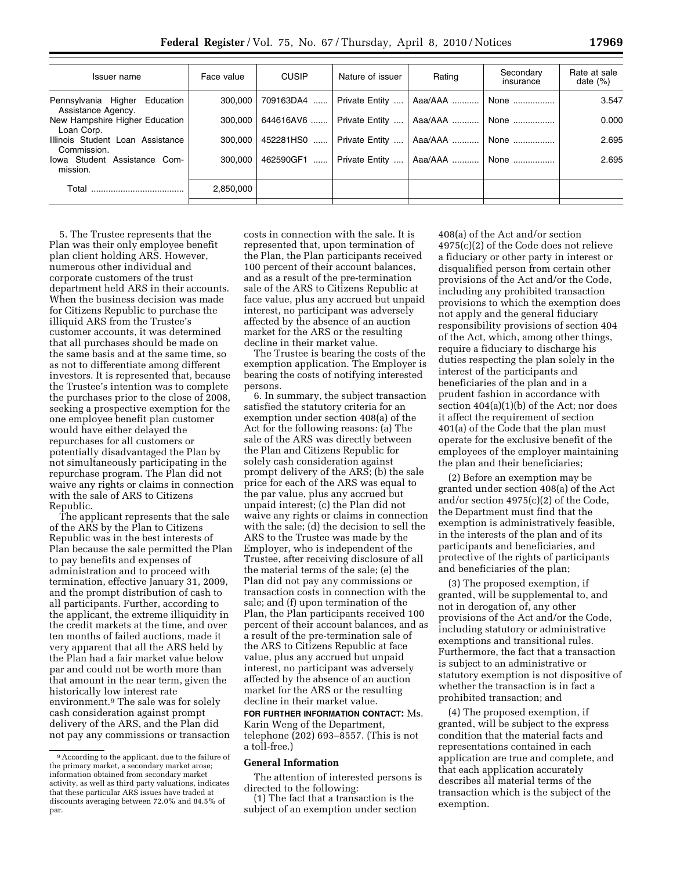| Issuer name                                            | Face value | <b>CUSIP</b>     | Nature of issuer | Rating          | Secondary<br>insurance | Rate at sale<br>date $(\%)$ |
|--------------------------------------------------------|------------|------------------|------------------|-----------------|------------------------|-----------------------------|
| Pennsylvania Higher<br>Education<br>Assistance Agency. | 300.000    | 709163DA4        | Private Entity   | Aaa/AAA         | None                   | 3.547                       |
| New Hampshire Higher Education<br>Loan Corp.           | 300.000    | 644616AV6        | Private Entity   | Aaa/AAA    None |                        | 0.000                       |
| Illinois Student Loan Assistance<br>Commission.        | 300.000    | 452281HS0        | Private Entity   | Aaa/AAA         | None                   | 2.695                       |
| Iowa Student Assistance Com-<br>mission.               | 300.000    | 462590GF1<br>. 1 | Private Entity   | Aaa/AAA    None |                        | 2.695                       |
| Total                                                  | 2.850.000  |                  |                  |                 |                        |                             |

5. The Trustee represents that the Plan was their only employee benefit plan client holding ARS. However, numerous other individual and corporate customers of the trust department held ARS in their accounts. When the business decision was made for Citizens Republic to purchase the illiquid ARS from the Trustee's customer accounts, it was determined that all purchases should be made on the same basis and at the same time, so as not to differentiate among different investors. It is represented that, because the Trustee's intention was to complete the purchases prior to the close of 2008, seeking a prospective exemption for the one employee benefit plan customer would have either delayed the repurchases for all customers or potentially disadvantaged the Plan by not simultaneously participating in the repurchase program. The Plan did not waive any rights or claims in connection with the sale of ARS to Citizens Republic.

The applicant represents that the sale of the ARS by the Plan to Citizens Republic was in the best interests of Plan because the sale permitted the Plan to pay benefits and expenses of administration and to proceed with termination, effective January 31, 2009, and the prompt distribution of cash to all participants. Further, according to the applicant, the extreme illiquidity in the credit markets at the time, and over ten months of failed auctions, made it very apparent that all the ARS held by the Plan had a fair market value below par and could not be worth more than that amount in the near term, given the historically low interest rate environment.9 The sale was for solely cash consideration against prompt delivery of the ARS, and the Plan did not pay any commissions or transaction

costs in connection with the sale. It is represented that, upon termination of the Plan, the Plan participants received 100 percent of their account balances, and as a result of the pre-termination sale of the ARS to Citizens Republic at face value, plus any accrued but unpaid interest, no participant was adversely affected by the absence of an auction market for the ARS or the resulting decline in their market value.

The Trustee is bearing the costs of the exemption application. The Employer is bearing the costs of notifying interested persons.

6. In summary, the subject transaction satisfied the statutory criteria for an exemption under section 408(a) of the Act for the following reasons: (a) The sale of the ARS was directly between the Plan and Citizens Republic for solely cash consideration against prompt delivery of the ARS; (b) the sale price for each of the ARS was equal to the par value, plus any accrued but unpaid interest; (c) the Plan did not waive any rights or claims in connection with the sale; (d) the decision to sell the ARS to the Trustee was made by the Employer, who is independent of the Trustee, after receiving disclosure of all the material terms of the sale; (e) the Plan did not pay any commissions or transaction costs in connection with the sale; and (f) upon termination of the Plan, the Plan participants received 100 percent of their account balances, and as a result of the pre-termination sale of the ARS to Citizens Republic at face value, plus any accrued but unpaid interest, no participant was adversely affected by the absence of an auction market for the ARS or the resulting decline in their market value.

**FOR FURTHER INFORMATION CONTACT:** Ms. Karin Weng of the Department, telephone (202) 693–8557. (This is not a toll-free.)

#### **General Information**

The attention of interested persons is directed to the following:

(1) The fact that a transaction is the subject of an exemption under section 408(a) of the Act and/or section 4975(c)(2) of the Code does not relieve a fiduciary or other party in interest or disqualified person from certain other provisions of the Act and/or the Code, including any prohibited transaction provisions to which the exemption does not apply and the general fiduciary responsibility provisions of section 404 of the Act, which, among other things, require a fiduciary to discharge his duties respecting the plan solely in the interest of the participants and beneficiaries of the plan and in a prudent fashion in accordance with section 404(a)(1)(b) of the Act; nor does it affect the requirement of section 401(a) of the Code that the plan must operate for the exclusive benefit of the employees of the employer maintaining the plan and their beneficiaries;

(2) Before an exemption may be granted under section 408(a) of the Act and/or section 4975(c)(2) of the Code, the Department must find that the exemption is administratively feasible, in the interests of the plan and of its participants and beneficiaries, and protective of the rights of participants and beneficiaries of the plan;

(3) The proposed exemption, if granted, will be supplemental to, and not in derogation of, any other provisions of the Act and/or the Code, including statutory or administrative exemptions and transitional rules. Furthermore, the fact that a transaction is subject to an administrative or statutory exemption is not dispositive of whether the transaction is in fact a prohibited transaction; and

(4) The proposed exemption, if granted, will be subject to the express condition that the material facts and representations contained in each application are true and complete, and that each application accurately describes all material terms of the transaction which is the subject of the exemption.

<sup>9</sup>According to the applicant, due to the failure of the primary market, a secondary market arose; information obtained from secondary market activity, as well as third party valuations, indicates that these particular ARS issues have traded at discounts averaging between 72.0% and 84.5% of par.